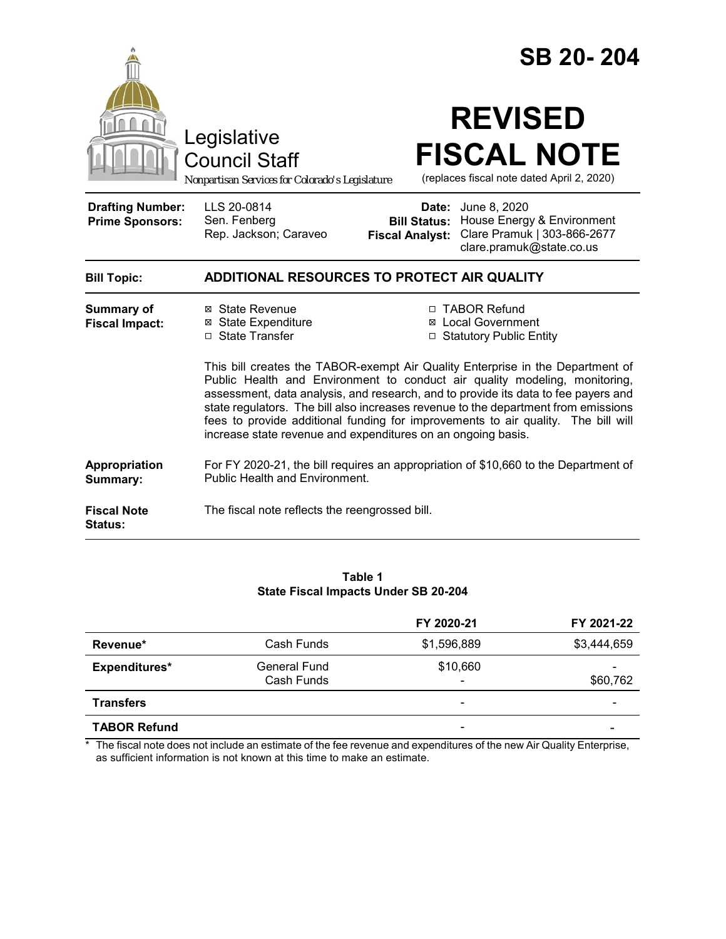|                                                   |                                                                                                                                                                                                                                                                                                                                                                                                                                                                                               | SB 20-204                                                                                                                                                           |                                                                  |  |  |
|---------------------------------------------------|-----------------------------------------------------------------------------------------------------------------------------------------------------------------------------------------------------------------------------------------------------------------------------------------------------------------------------------------------------------------------------------------------------------------------------------------------------------------------------------------------|---------------------------------------------------------------------------------------------------------------------------------------------------------------------|------------------------------------------------------------------|--|--|
|                                                   | Legislative<br><b>Council Staff</b><br>Nonpartisan Services for Colorado's Legislature                                                                                                                                                                                                                                                                                                                                                                                                        | <b>REVISED</b>                                                                                                                                                      | <b>FISCAL NOTE</b><br>(replaces fiscal note dated April 2, 2020) |  |  |
| <b>Drafting Number:</b><br><b>Prime Sponsors:</b> | LLS 20-0814<br>Sen. Fenberg<br>Rep. Jackson; Caraveo                                                                                                                                                                                                                                                                                                                                                                                                                                          | <b>Date:</b> June 8, 2020<br>House Energy & Environment<br><b>Bill Status:</b><br>Clare Pramuk   303-866-2677<br><b>Fiscal Analyst:</b><br>clare.pramuk@state.co.us |                                                                  |  |  |
| <b>Bill Topic:</b>                                | ADDITIONAL RESOURCES TO PROTECT AIR QUALITY                                                                                                                                                                                                                                                                                                                                                                                                                                                   |                                                                                                                                                                     |                                                                  |  |  |
| <b>Summary of</b><br><b>Fiscal Impact:</b>        | ⊠ State Revenue<br><b>⊠</b> State Expenditure<br>□ State Transfer                                                                                                                                                                                                                                                                                                                                                                                                                             | □ TABOR Refund<br>⊠ Local Government<br>□ Statutory Public Entity                                                                                                   |                                                                  |  |  |
|                                                   | This bill creates the TABOR-exempt Air Quality Enterprise in the Department of<br>Public Health and Environment to conduct air quality modeling, monitoring,<br>assessment, data analysis, and research, and to provide its data to fee payers and<br>state regulators. The bill also increases revenue to the department from emissions<br>fees to provide additional funding for improvements to air quality. The bill will<br>increase state revenue and expenditures on an ongoing basis. |                                                                                                                                                                     |                                                                  |  |  |
| Appropriation<br>Summary:                         | For FY 2020-21, the bill requires an appropriation of \$10,660 to the Department of<br>Public Health and Environment.                                                                                                                                                                                                                                                                                                                                                                         |                                                                                                                                                                     |                                                                  |  |  |
| <b>Fiscal Note</b><br>Status:                     | The fiscal note reflects the reengrossed bill.                                                                                                                                                                                                                                                                                                                                                                                                                                                |                                                                                                                                                                     |                                                                  |  |  |

#### **Table 1 State Fiscal Impacts Under SB 20-204**

|                     |                            | FY 2020-21                           | FY 2021-22  |
|---------------------|----------------------------|--------------------------------------|-------------|
| Revenue*            | Cash Funds                 | \$1,596,889                          | \$3,444,659 |
| Expenditures*       | General Fund<br>Cash Funds | \$10,660<br>$\overline{\phantom{a}}$ | \$60,762    |
| <b>Transfers</b>    |                            | $\overline{\phantom{0}}$             | -           |
| <b>TABOR Refund</b> |                            | $\overline{\phantom{a}}$             |             |

\* The fiscal note does not include an estimate of the fee revenue and expenditures of the new Air Quality Enterprise, as sufficient information is not known at this time to make an estimate.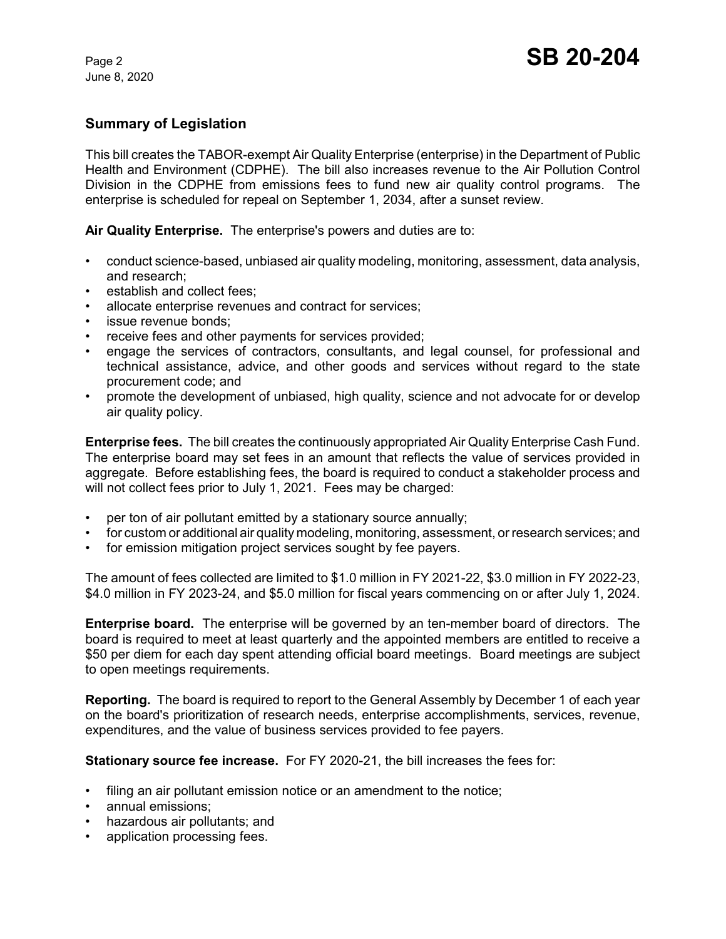June 8, 2020

### **Summary of Legislation**

This bill creates the TABOR-exempt Air Quality Enterprise (enterprise) in the Department of Public Health and Environment (CDPHE). The bill also increases revenue to the Air Pollution Control Division in the CDPHE from emissions fees to fund new air quality control programs. The enterprise is scheduled for repeal on September 1, 2034, after a sunset review.

**Air Quality Enterprise.** The enterprise's powers and duties are to:

- conduct science-based, unbiased air quality modeling, monitoring, assessment, data analysis, and research;
- establish and collect fees:
- allocate enterprise revenues and contract for services;
- issue revenue bonds:
- receive fees and other payments for services provided;
- engage the services of contractors, consultants, and legal counsel, for professional and technical assistance, advice, and other goods and services without regard to the state procurement code; and
- promote the development of unbiased, high quality, science and not advocate for or develop air quality policy.

**Enterprise fees.** The bill creates the continuously appropriated Air Quality Enterprise Cash Fund. The enterprise board may set fees in an amount that reflects the value of services provided in aggregate. Before establishing fees, the board is required to conduct a stakeholder process and will not collect fees prior to July 1, 2021. Fees may be charged:

- per ton of air pollutant emitted by a stationary source annually;
- for custom or additional air quality modeling, monitoring, assessment, or research services; and
- for emission mitigation project services sought by fee payers.

The amount of fees collected are limited to \$1.0 million in FY 2021-22, \$3.0 million in FY 2022-23, \$4.0 million in FY 2023-24, and \$5.0 million for fiscal years commencing on or after July 1, 2024.

**Enterprise board.** The enterprise will be governed by an ten-member board of directors. The board is required to meet at least quarterly and the appointed members are entitled to receive a \$50 per diem for each day spent attending official board meetings. Board meetings are subject to open meetings requirements.

**Reporting.** The board is required to report to the General Assembly by December 1 of each year on the board's prioritization of research needs, enterprise accomplishments, services, revenue, expenditures, and the value of business services provided to fee payers.

**Stationary source fee increase.** For FY 2020-21, the bill increases the fees for:

- filing an air pollutant emission notice or an amendment to the notice;
- annual emissions;
- hazardous air pollutants; and
- application processing fees.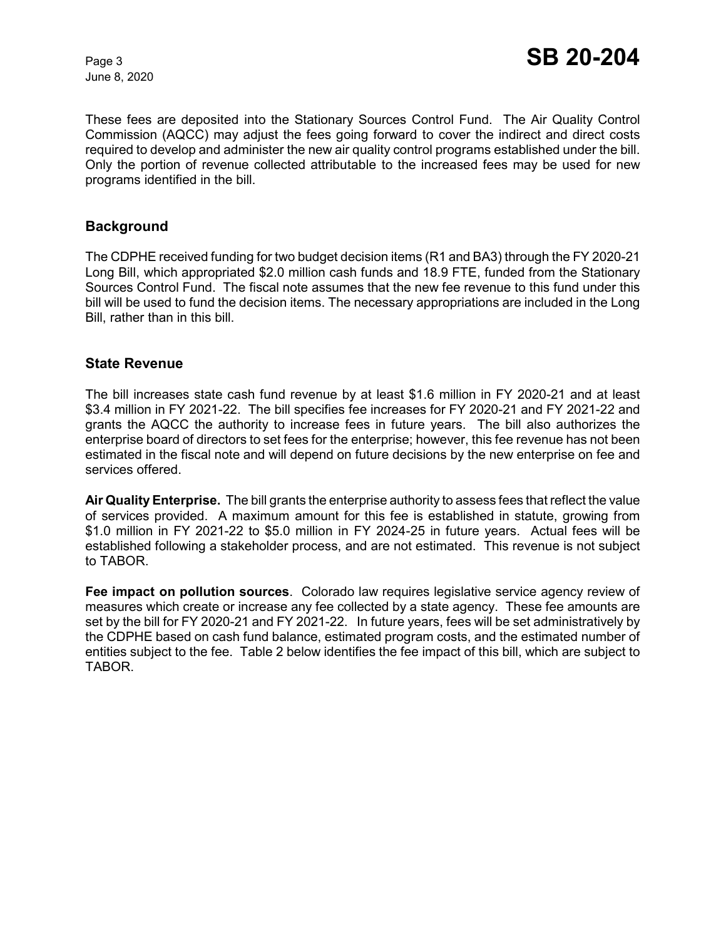June 8, 2020

These fees are deposited into the Stationary Sources Control Fund. The Air Quality Control Commission (AQCC) may adjust the fees going forward to cover the indirect and direct costs required to develop and administer the new air quality control programs established under the bill. Only the portion of revenue collected attributable to the increased fees may be used for new programs identified in the bill.

### **Background**

The CDPHE received funding for two budget decision items (R1 and BA3) through the FY 2020-21 Long Bill, which appropriated \$2.0 million cash funds and 18.9 FTE, funded from the Stationary Sources Control Fund. The fiscal note assumes that the new fee revenue to this fund under this bill will be used to fund the decision items. The necessary appropriations are included in the Long Bill, rather than in this bill.

### **State Revenue**

The bill increases state cash fund revenue by at least \$1.6 million in FY 2020-21 and at least \$3.4 million in FY 2021-22. The bill specifies fee increases for FY 2020-21 and FY 2021-22 and grants the AQCC the authority to increase fees in future years. The bill also authorizes the enterprise board of directors to set fees for the enterprise; however, this fee revenue has not been estimated in the fiscal note and will depend on future decisions by the new enterprise on fee and services offered.

**Air Quality Enterprise.** The bill grants the enterprise authority to assess fees that reflect the value of services provided. A maximum amount for this fee is established in statute, growing from \$1.0 million in FY 2021-22 to \$5.0 million in FY 2024-25 in future years. Actual fees will be established following a stakeholder process, and are not estimated. This revenue is not subject to TABOR.

**Fee impact on pollution sources**. Colorado law requires legislative service agency review of measures which create or increase any fee collected by a state agency. These fee amounts are set by the bill for FY 2020-21 and FY 2021-22. In future years, fees will be set administratively by the CDPHE based on cash fund balance, estimated program costs, and the estimated number of entities subject to the fee. Table 2 below identifies the fee impact of this bill, which are subject to TABOR.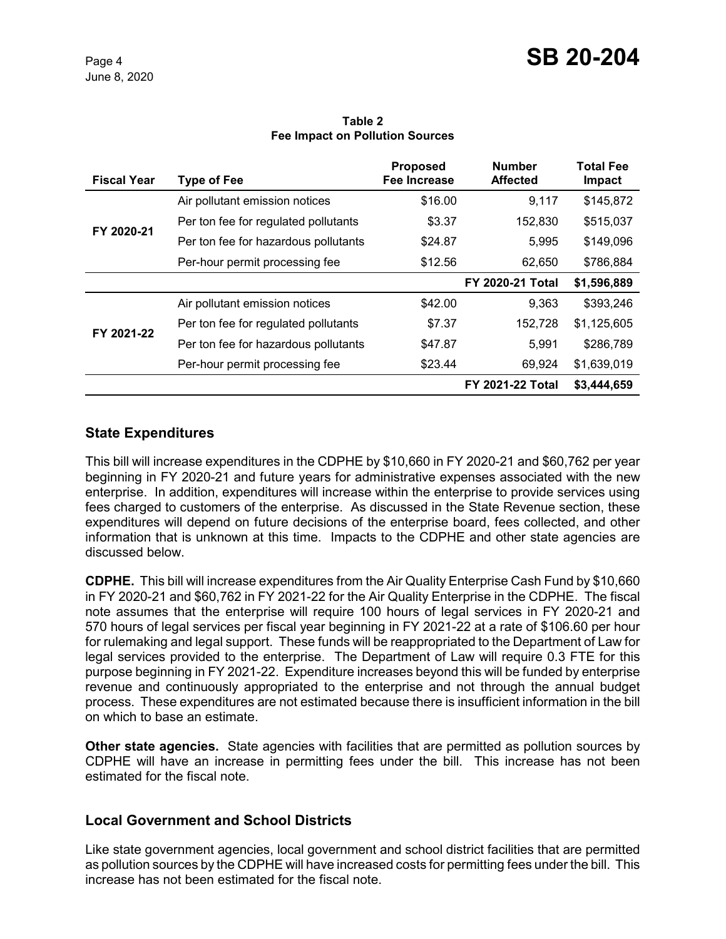#### **Table 2 Fee Impact on Pollution Sources**

| <b>Fiscal Year</b> | Type of Fee                          | <b>Proposed</b><br>Fee Increase | <b>Number</b><br><b>Affected</b> | <b>Total Fee</b><br>Impact |
|--------------------|--------------------------------------|---------------------------------|----------------------------------|----------------------------|
| FY 2020-21         | Air pollutant emission notices       | \$16.00                         | 9,117                            | \$145,872                  |
|                    | Per ton fee for regulated pollutants | \$3.37                          | 152,830                          | \$515,037                  |
|                    | Per ton fee for hazardous pollutants | \$24.87                         | 5,995                            | \$149,096                  |
|                    | Per-hour permit processing fee       | \$12.56                         | 62,650                           | \$786,884                  |
|                    |                                      |                                 | <b>FY 2020-21 Total</b>          | \$1,596,889                |
| FY 2021-22         | Air pollutant emission notices       | \$42.00                         | 9,363                            | \$393,246                  |
|                    | Per ton fee for regulated pollutants | \$7.37                          | 152,728                          | \$1,125,605                |
|                    | Per ton fee for hazardous pollutants | \$47.87                         | 5,991                            | \$286,789                  |
|                    | Per-hour permit processing fee       | \$23.44                         | 69,924                           | \$1,639,019                |
|                    |                                      |                                 | <b>FY 2021-22 Total</b>          | \$3,444,659                |

# **State Expenditures**

This bill will increase expenditures in the CDPHE by \$10,660 in FY 2020-21 and \$60,762 per year beginning in FY 2020-21 and future years for administrative expenses associated with the new enterprise. In addition, expenditures will increase within the enterprise to provide services using fees charged to customers of the enterprise. As discussed in the State Revenue section, these expenditures will depend on future decisions of the enterprise board, fees collected, and other information that is unknown at this time. Impacts to the CDPHE and other state agencies are discussed below.

**CDPHE.** This bill will increase expenditures from the Air Quality Enterprise Cash Fund by \$10,660 in FY 2020-21 and \$60,762 in FY 2021-22 for the Air Quality Enterprise in the CDPHE. The fiscal note assumes that the enterprise will require 100 hours of legal services in FY 2020-21 and 570 hours of legal services per fiscal year beginning in FY 2021-22 at a rate of \$106.60 per hour for rulemaking and legal support. These funds will be reappropriated to the Department of Law for legal services provided to the enterprise. The Department of Law will require 0.3 FTE for this purpose beginning in FY 2021-22. Expenditure increases beyond this will be funded by enterprise revenue and continuously appropriated to the enterprise and not through the annual budget process. These expenditures are not estimated because there is insufficient information in the bill on which to base an estimate.

**Other state agencies.** State agencies with facilities that are permitted as pollution sources by CDPHE will have an increase in permitting fees under the bill. This increase has not been estimated for the fiscal note.

# **Local Government and School Districts**

Like state government agencies, local government and school district facilities that are permitted as pollution sources by the CDPHE will have increased costs for permitting fees under the bill. This increase has not been estimated for the fiscal note.